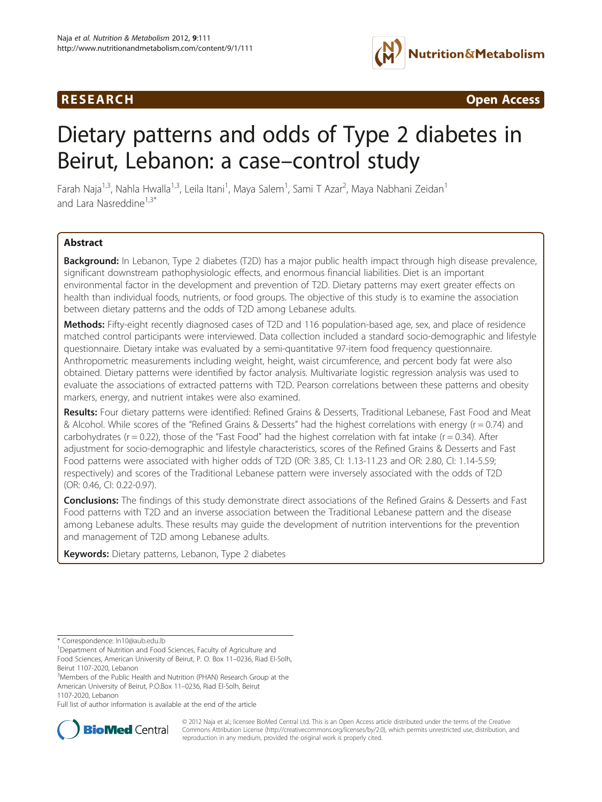# R E S EAR CH Open Access



# Dietary patterns and odds of Type 2 diabetes in Beirut, Lebanon: a case–control study

Farah Naja<sup>1,3</sup>, Nahla Hwalla<sup>1,3</sup>, Leila Itani<sup>1</sup>, Maya Salem<sup>1</sup>, Sami T Azar<sup>2</sup>, Maya Nabhani Zeidan<sup>1</sup> and Lara Nasreddine $1,3^*$ 

# Abstract

Background: In Lebanon, Type 2 diabetes (T2D) has a major public health impact through high disease prevalence, significant downstream pathophysiologic effects, and enormous financial liabilities. Diet is an important environmental factor in the development and prevention of T2D. Dietary patterns may exert greater effects on health than individual foods, nutrients, or food groups. The objective of this study is to examine the association between dietary patterns and the odds of T2D among Lebanese adults.

Methods: Fifty-eight recently diagnosed cases of T2D and 116 population-based age, sex, and place of residence matched control participants were interviewed. Data collection included a standard socio-demographic and lifestyle questionnaire. Dietary intake was evaluated by a semi-quantitative 97-item food frequency questionnaire. Anthropometric measurements including weight, height, waist circumference, and percent body fat were also obtained. Dietary patterns were identified by factor analysis. Multivariate logistic regression analysis was used to evaluate the associations of extracted patterns with T2D. Pearson correlations between these patterns and obesity markers, energy, and nutrient intakes were also examined.

Results: Four dietary patterns were identified: Refined Grains & Desserts, Traditional Lebanese, Fast Food and Meat & Alcohol. While scores of the "Refined Grains & Desserts" had the highest correlations with energy (r = 0.74) and carbohydrates ( $r = 0.22$ ), those of the "Fast Food" had the highest correlation with fat intake ( $r = 0.34$ ). After adjustment for socio-demographic and lifestyle characteristics, scores of the Refined Grains & Desserts and Fast Food patterns were associated with higher odds of T2D (OR: 3.85, CI: 1.13-11.23 and OR: 2.80, CI: 1.14-5.59; respectively) and scores of the Traditional Lebanese pattern were inversely associated with the odds of T2D (OR: 0.46, CI: 0.22-0.97).

Conclusions: The findings of this study demonstrate direct associations of the Refined Grains & Desserts and Fast Food patterns with T2D and an inverse association between the Traditional Lebanese pattern and the disease among Lebanese adults. These results may guide the development of nutrition interventions for the prevention and management of T2D among Lebanese adults.

Keywords: Dietary patterns, Lebanon, Type 2 diabetes

<sup>1</sup>Department of Nutrition and Food Sciences, Faculty of Agriculture and Food Sciences, American University of Beirut, P. O. Box 11–0236, Riad El-Solh, Beirut 1107-2020, Lebanon

<sup>3</sup>Members of the Public Health and Nutrition (PHAN) Research Group at the American University of Beirut, P.O.Box 11–0236, Riad El-Solh, Beirut 1107-2020, Lebanon

Full list of author information is available at the end of the article



© 2012 Naja et al.; licensee BioMed Central Ltd. This is an Open Access article distributed under the terms of the Creative Commons Attribution License [\(http://creativecommons.org/licenses/by/2.0\)](http://creativecommons.org/licenses/by/2.0), which permits unrestricted use, distribution, and reproduction in any medium, provided the original work is properly cited.

<sup>\*</sup> Correspondence: [ln10@aub.edu.lb](mailto:ln10@aub.edu.lb) <sup>1</sup>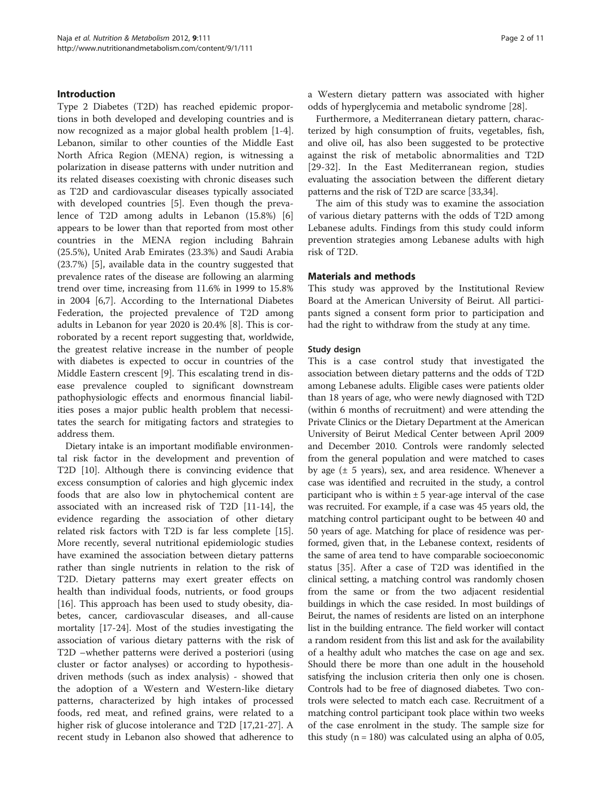# Introduction

Type 2 Diabetes (T2D) has reached epidemic proportions in both developed and developing countries and is now recognized as a major global health problem [[1-4](#page-8-0)]. Lebanon, similar to other counties of the Middle East North Africa Region (MENA) region, is witnessing a polarization in disease patterns with under nutrition and its related diseases coexisting with chronic diseases such as T2D and cardiovascular diseases typically associated with developed countries [\[5](#page-8-0)]. Even though the prevalence of T2D among adults in Lebanon (15.8%) [\[6](#page-8-0)] appears to be lower than that reported from most other countries in the MENA region including Bahrain (25.5%), United Arab Emirates (23.3%) and Saudi Arabia (23.7%) [[5\]](#page-8-0), available data in the country suggested that prevalence rates of the disease are following an alarming trend over time, increasing from 11.6% in 1999 to 15.8% in 2004 [\[6,7](#page-8-0)]. According to the International Diabetes Federation, the projected prevalence of T2D among adults in Lebanon for year 2020 is 20.4% [\[8](#page-8-0)]. This is corroborated by a recent report suggesting that, worldwide, the greatest relative increase in the number of people with diabetes is expected to occur in countries of the Middle Eastern crescent [\[9](#page-8-0)]. This escalating trend in disease prevalence coupled to significant downstream pathophysiologic effects and enormous financial liabilities poses a major public health problem that necessitates the search for mitigating factors and strategies to address them.

Dietary intake is an important modifiable environmental risk factor in the development and prevention of T2D [[10](#page-8-0)]. Although there is convincing evidence that excess consumption of calories and high glycemic index foods that are also low in phytochemical content are associated with an increased risk of T2D [\[11-14](#page-8-0)], the evidence regarding the association of other dietary related risk factors with T2D is far less complete [\[15](#page-8-0)]. More recently, several nutritional epidemiologic studies have examined the association between dietary patterns rather than single nutrients in relation to the risk of T2D. Dietary patterns may exert greater effects on health than individual foods, nutrients, or food groups [[16\]](#page-8-0). This approach has been used to study obesity, diabetes, cancer, cardiovascular diseases, and all-cause mortality [\[17](#page-8-0)-[24\]](#page-8-0). Most of the studies investigating the association of various dietary patterns with the risk of T2D –whether patterns were derived a posteriori (using cluster or factor analyses) or according to hypothesisdriven methods (such as index analysis) - showed that the adoption of a Western and Western-like dietary patterns, characterized by high intakes of processed foods, red meat, and refined grains, were related to a higher risk of glucose intolerance and T2D [[17,21-27](#page-8-0)]. A recent study in Lebanon also showed that adherence to a Western dietary pattern was associated with higher odds of hyperglycemia and metabolic syndrome [[28\]](#page-8-0).

Furthermore, a Mediterranean dietary pattern, characterized by high consumption of fruits, vegetables, fish, and olive oil, has also been suggested to be protective against the risk of metabolic abnormalities and T2D [[29-](#page-8-0)[32\]](#page-9-0). In the East Mediterranean region, studies evaluating the association between the different dietary patterns and the risk of T2D are scarce [\[33,34\]](#page-9-0).

The aim of this study was to examine the association of various dietary patterns with the odds of T2D among Lebanese adults. Findings from this study could inform prevention strategies among Lebanese adults with high risk of T2D.

# Materials and methods

This study was approved by the Institutional Review Board at the American University of Beirut. All participants signed a consent form prior to participation and had the right to withdraw from the study at any time.

# Study design

This is a case control study that investigated the association between dietary patterns and the odds of T2D among Lebanese adults. Eligible cases were patients older than 18 years of age, who were newly diagnosed with T2D (within 6 months of recruitment) and were attending the Private Clinics or the Dietary Department at the American University of Beirut Medical Center between April 2009 and December 2010. Controls were randomly selected from the general population and were matched to cases by age  $(\pm 5 \text{ years})$ , sex, and area residence. Whenever a case was identified and recruited in the study, a control participant who is within  $\pm$  5 year-age interval of the case was recruited. For example, if a case was 45 years old, the matching control participant ought to be between 40 and 50 years of age. Matching for place of residence was performed, given that, in the Lebanese context, residents of the same of area tend to have comparable socioeconomic status [[35\]](#page-9-0). After a case of T2D was identified in the clinical setting, a matching control was randomly chosen from the same or from the two adjacent residential buildings in which the case resided. In most buildings of Beirut, the names of residents are listed on an interphone list in the building entrance. The field worker will contact a random resident from this list and ask for the availability of a healthy adult who matches the case on age and sex. Should there be more than one adult in the household satisfying the inclusion criteria then only one is chosen. Controls had to be free of diagnosed diabetes. Two controls were selected to match each case. Recruitment of a matching control participant took place within two weeks of the case enrolment in the study. The sample size for this study  $(n = 180)$  was calculated using an alpha of 0.05,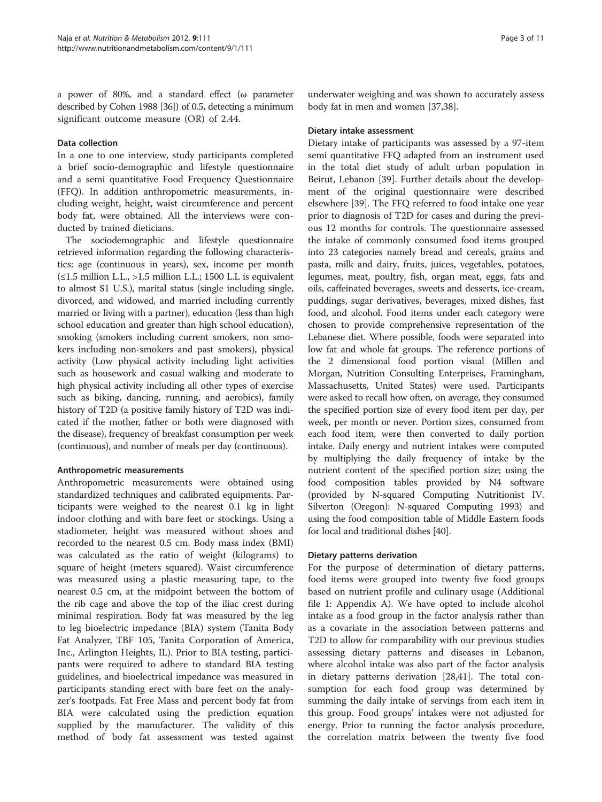a power of 80%, and a standard effect (ω parameter described by Cohen 1988 [\[36\]](#page-9-0)) of 0.5, detecting a minimum significant outcome measure (OR) of 2.44.

# Data collection

In a one to one interview, study participants completed a brief socio-demographic and lifestyle questionnaire and a semi quantitative Food Frequency Questionnaire (FFQ). In addition anthropometric measurements, including weight, height, waist circumference and percent body fat, were obtained. All the interviews were conducted by trained dieticians.

The sociodemographic and lifestyle questionnaire retrieved information regarding the following characteristics: age (continuous in years), sex, income per month  $(\leq 1.5$  million L.L., >1.5 million L.L.; 1500 L.L is equivalent to almost \$1 U.S.), marital status (single including single, divorced, and widowed, and married including currently married or living with a partner), education (less than high school education and greater than high school education), smoking (smokers including current smokers, non smokers including non-smokers and past smokers), physical activity (Low physical activity including light activities such as housework and casual walking and moderate to high physical activity including all other types of exercise such as biking, dancing, running, and aerobics), family history of T2D (a positive family history of T2D was indicated if the mother, father or both were diagnosed with the disease), frequency of breakfast consumption per week (continuous), and number of meals per day (continuous).

# Anthropometric measurements

Anthropometric measurements were obtained using standardized techniques and calibrated equipments. Participants were weighed to the nearest 0.1 kg in light indoor clothing and with bare feet or stockings. Using a stadiometer, height was measured without shoes and recorded to the nearest 0.5 cm. Body mass index (BMI) was calculated as the ratio of weight (kilograms) to square of height (meters squared). Waist circumference was measured using a plastic measuring tape, to the nearest 0.5 cm, at the midpoint between the bottom of the rib cage and above the top of the iliac crest during minimal respiration. Body fat was measured by the leg to leg bioelectric impedance (BIA) system (Tanita Body Fat Analyzer, TBF 105, Tanita Corporation of America, Inc., Arlington Heights, IL). Prior to BIA testing, participants were required to adhere to standard BIA testing guidelines, and bioelectrical impedance was measured in participants standing erect with bare feet on the analyzer's footpads. Fat Free Mass and percent body fat from BIA were calculated using the prediction equation supplied by the manufacturer. The validity of this method of body fat assessment was tested against underwater weighing and was shown to accurately assess body fat in men and women [[37,38\]](#page-9-0).

# Dietary intake assessment

Dietary intake of participants was assessed by a 97-item semi quantitative FFQ adapted from an instrument used in the total diet study of adult urban population in Beirut, Lebanon [[39](#page-9-0)]. Further details about the development of the original questionnaire were described elsewhere [[39](#page-9-0)]. The FFQ referred to food intake one year prior to diagnosis of T2D for cases and during the previous 12 months for controls. The questionnaire assessed the intake of commonly consumed food items grouped into 23 categories namely bread and cereals, grains and pasta, milk and dairy, fruits, juices, vegetables, potatoes, legumes, meat, poultry, fish, organ meat, eggs, fats and oils, caffeinated beverages, sweets and desserts, ice-cream, puddings, sugar derivatives, beverages, mixed dishes, fast food, and alcohol. Food items under each category were chosen to provide comprehensive representation of the Lebanese diet. Where possible, foods were separated into low fat and whole fat groups. The reference portions of the 2 dimensional food portion visual (Millen and Morgan, Nutrition Consulting Enterprises, Framingham, Massachusetts, United States) were used. Participants were asked to recall how often, on average, they consumed the specified portion size of every food item per day, per week, per month or never. Portion sizes, consumed from each food item, were then converted to daily portion intake. Daily energy and nutrient intakes were computed by multiplying the daily frequency of intake by the nutrient content of the specified portion size; using the food composition tables provided by N4 software (provided by N-squared Computing Nutritionist IV. Silverton (Oregon): N-squared Computing 1993) and using the food composition table of Middle Eastern foods for local and traditional dishes [\[40](#page-9-0)].

# Dietary patterns derivation

For the purpose of determination of dietary patterns, food items were grouped into twenty five food groups based on nutrient profile and culinary usage (Additional file [1](#page-8-0): Appendix A). We have opted to include alcohol intake as a food group in the factor analysis rather than as a covariate in the association between patterns and T2D to allow for comparability with our previous studies assessing dietary patterns and diseases in Lebanon, where alcohol intake was also part of the factor analysis in dietary patterns derivation [\[28,](#page-8-0)[41\]](#page-9-0). The total consumption for each food group was determined by summing the daily intake of servings from each item in this group. Food groups' intakes were not adjusted for energy. Prior to running the factor analysis procedure, the correlation matrix between the twenty five food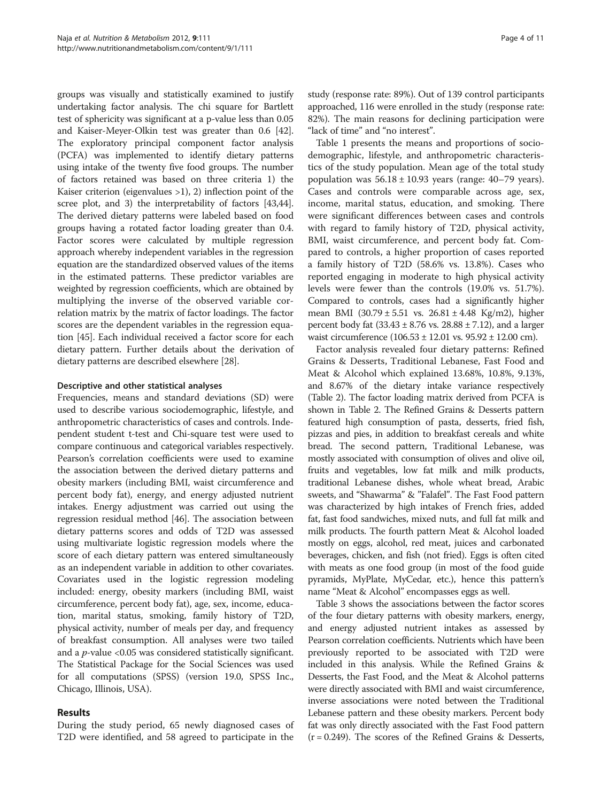groups was visually and statistically examined to justify undertaking factor analysis. The chi square for Bartlett test of sphericity was significant at a p-value less than 0.05 and Kaiser-Meyer-Olkin test was greater than 0.6 [[42](#page-9-0)]. The exploratory principal component factor analysis (PCFA) was implemented to identify dietary patterns using intake of the twenty five food groups. The number of factors retained was based on three criteria 1) the Kaiser criterion (eigenvalues >1), 2) inflection point of the scree plot, and 3) the interpretability of factors [\[43,44](#page-9-0)]. The derived dietary patterns were labeled based on food groups having a rotated factor loading greater than 0.4. Factor scores were calculated by multiple regression approach whereby independent variables in the regression equation are the standardized observed values of the items in the estimated patterns. These predictor variables are weighted by regression coefficients, which are obtained by multiplying the inverse of the observed variable correlation matrix by the matrix of factor loadings. The factor scores are the dependent variables in the regression equation [\[45\]](#page-9-0). Each individual received a factor score for each dietary pattern. Further details about the derivation of dietary patterns are described elsewhere [[28](#page-8-0)].

#### Descriptive and other statistical analyses

Frequencies, means and standard deviations (SD) were used to describe various sociodemographic, lifestyle, and anthropometric characteristics of cases and controls. Independent student t-test and Chi-square test were used to compare continuous and categorical variables respectively. Pearson's correlation coefficients were used to examine the association between the derived dietary patterns and obesity markers (including BMI, waist circumference and percent body fat), energy, and energy adjusted nutrient intakes. Energy adjustment was carried out using the regression residual method [[46](#page-9-0)]. The association between dietary patterns scores and odds of T2D was assessed using multivariate logistic regression models where the score of each dietary pattern was entered simultaneously as an independent variable in addition to other covariates. Covariates used in the logistic regression modeling included: energy, obesity markers (including BMI, waist circumference, percent body fat), age, sex, income, education, marital status, smoking, family history of T2D, physical activity, number of meals per day, and frequency of breakfast consumption. All analyses were two tailed and a  $p$ -value <0.05 was considered statistically significant. The Statistical Package for the Social Sciences was used for all computations (SPSS) (version 19.0, SPSS Inc., Chicago, Illinois, USA).

# Results

During the study period, 65 newly diagnosed cases of T2D were identified, and 58 agreed to participate in the study (response rate: 89%). Out of 139 control participants approached, 116 were enrolled in the study (response rate: 82%). The main reasons for declining participation were "lack of time" and "no interest".

Table [1](#page-4-0) presents the means and proportions of sociodemographic, lifestyle, and anthropometric characteristics of the study population. Mean age of the total study population was  $56.18 \pm 10.93$  years (range: 40–79 years). Cases and controls were comparable across age, sex, income, marital status, education, and smoking. There were significant differences between cases and controls with regard to family history of T2D, physical activity, BMI, waist circumference, and percent body fat. Compared to controls, a higher proportion of cases reported a family history of T2D (58.6% vs. 13.8%). Cases who reported engaging in moderate to high physical activity levels were fewer than the controls (19.0% vs. 51.7%). Compared to controls, cases had a significantly higher mean BMI (30.79 ± 5.51 vs. 26.81 ± 4.48 Kg/m2), higher percent body fat  $(33.43 \pm 8.76 \text{ vs. } 28.88 \pm 7.12)$ , and a larger waist circumference (106.53 ± 12.01 vs. 95.92 ± 12.00 cm).

Factor analysis revealed four dietary patterns: Refined Grains & Desserts, Traditional Lebanese, Fast Food and Meat & Alcohol which explained 13.68%, 10.8%, 9.13%, and 8.67% of the dietary intake variance respectively (Table [2](#page-5-0)). The factor loading matrix derived from PCFA is shown in Table [2.](#page-5-0) The Refined Grains & Desserts pattern featured high consumption of pasta, desserts, fried fish, pizzas and pies, in addition to breakfast cereals and white bread. The second pattern, Traditional Lebanese, was mostly associated with consumption of olives and olive oil, fruits and vegetables, low fat milk and milk products, traditional Lebanese dishes, whole wheat bread, Arabic sweets, and "Shawarma" & "Falafel". The Fast Food pattern was characterized by high intakes of French fries, added fat, fast food sandwiches, mixed nuts, and full fat milk and milk products. The fourth pattern Meat & Alcohol loaded mostly on eggs, alcohol, red meat, juices and carbonated beverages, chicken, and fish (not fried). Eggs is often cited with meats as one food group (in most of the food guide pyramids, MyPlate, MyCedar, etc.), hence this pattern's name "Meat & Alcohol" encompasses eggs as well.

Table [3](#page-6-0) shows the associations between the factor scores of the four dietary patterns with obesity markers, energy, and energy adjusted nutrient intakes as assessed by Pearson correlation coefficients. Nutrients which have been previously reported to be associated with T2D were included in this analysis. While the Refined Grains & Desserts, the Fast Food, and the Meat & Alcohol patterns were directly associated with BMI and waist circumference, inverse associations were noted between the Traditional Lebanese pattern and these obesity markers. Percent body fat was only directly associated with the Fast Food pattern  $(r = 0.249)$ . The scores of the Refined Grains & Desserts,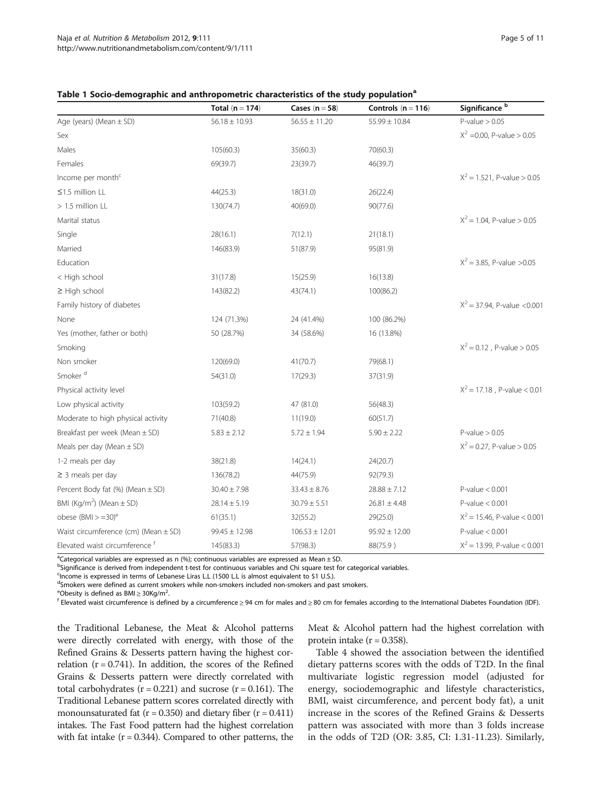|                                          | Total $(n = 174)$ | Cases $(n = 58)$   | Controls $(n = 116)$ | Significance <sup>b</sup>       |
|------------------------------------------|-------------------|--------------------|----------------------|---------------------------------|
| Age (years) (Mean $\pm$ SD)              | $56.18 \pm 10.93$ | $56.55 \pm 11.20$  | $55.99 \pm 10.84$    | $P$ -value $> 0.05$             |
| Sex                                      |                   |                    |                      | $X^2$ =0.00, P-value > 0.05     |
| Males                                    | 105(60.3)         | 35(60.3)           | 70(60.3)             |                                 |
| Females                                  | 69(39.7)          | 23(39.7)           | 46(39.7)             |                                 |
| Income per month <sup>c</sup>            |                   |                    |                      | $X^2 = 1.521$ , P-value > 0.05  |
| $\leq$ 1.5 million LL                    | 44(25.3)          | 18(31.0)           | 26(22.4)             |                                 |
| $> 1.5$ million LL                       | 130(74.7)         | 40(69.0)           | 90(77.6)             |                                 |
| Marital status                           |                   |                    |                      | $X^2 = 1.04$ , P-value > 0.05   |
| Single                                   | 28(16.1)          | 7(12.1)            | 21(18.1)             |                                 |
| Married                                  | 146(83.9)         | 51(87.9)           | 95(81.9)             |                                 |
| Education                                |                   |                    |                      | $X^2$ = 3.85, P-value > 0.05    |
| < High school                            | 31(17.8)          | 15(25.9)           | 16(13.8)             |                                 |
| $\geq$ High school                       | 143(82.2)         | 43(74.1)           | 100(86.2)            |                                 |
| Family history of diabetes               |                   |                    |                      | $X^2 = 37.94$ , P-value < 0.001 |
| None                                     | 124 (71.3%)       | 24 (41.4%)         | 100 (86.2%)          |                                 |
| Yes (mother, father or both)             | 50 (28.7%)        | 34 (58.6%)         | 16 (13.8%)           |                                 |
| Smoking                                  |                   |                    |                      | $X^2 = 0.12$ , P-value > 0.05   |
| Non smoker                               | 120(69.0)         | 41(70.7)           | 79(68.1)             |                                 |
| Smoker <sup>d</sup>                      | 54(31.0)          | 17(29.3)           | 37(31.9)             |                                 |
| Physical activity level                  |                   |                    |                      | $X^2 = 17.18$ , P-value < 0.01  |
| Low physical activity                    | 103(59.2)         | 47 (81.0)          | 56(48.3)             |                                 |
| Moderate to high physical activity       | 71(40.8)          | 11(19.0)           | 60(51.7)             |                                 |
| Breakfast per week (Mean ± SD)           | $5.83 \pm 2.12$   | $5.72 \pm 1.94$    | $5.90 \pm 2.22$      | $P$ -value $> 0.05$             |
| Meals per day (Mean $\pm$ SD)            |                   |                    |                      | $X^2$ = 0.27, P-value > 0.05    |
| 1-2 meals per day                        | 38(21.8)          | 14(24.1)           | 24(20.7)             |                                 |
| $\geq$ 3 meals per day                   | 136(78.2)         | 44(75.9)           | 92(79.3)             |                                 |
| Percent Body fat $(\%)$ (Mean $\pm$ SD)  | $30.40 \pm 7.98$  | $33.43 \pm 8.76$   | $28.88 \pm 7.12$     | $P$ -value < 0.001              |
| BMI (Kg/m <sup>2</sup> ) (Mean $\pm$ SD) | $28.14 \pm 5.19$  | $30.79 \pm 5.51$   | $26.81 \pm 4.48$     | $P$ -value < 0.001              |
| obese $(BMI > =30)$ <sup>e</sup>         | 61(35.1)          | 32(55.2)           | 29(25.0)             | $X^2 = 15.46$ , P-value < 0.001 |
| Waist circumference (cm) (Mean $\pm$ SD) | $99.45 \pm 12.98$ | $106.53 \pm 12.01$ | $95.92 \pm 12.00$    | $P$ -value < 0.001              |
| Elevated waist circumference f           | 145(83.3)         | 57(98.3)           | 88(75.9)             | $X^2$ = 13.99, P-value < 0.001  |

#### <span id="page-4-0"></span>Table 1 Socio-demographic and anthropometric characteristics of the study population<sup>a</sup>

<sup>a</sup>Categorical variables are expressed as n (%); continuous variables are expressed as Mean ± SD.

**bSignificance is derived from independent t-test for continuous variables and Chi square test for categorical variables.** 

<sup>c</sup>Income is expressed in terms of Lebanese Liras L.L (1500 L.L is almost equivalent to \$1 U.S.).

<sup>d</sup>Smokers were defined as current smokers while non-smokers included non-smokers and past smokers.

<sup>e</sup>Obesity is defined as BMI  $\geq$  30Kg/m<sup>2</sup>

. <sup>f</sup> Elevated waist circumference is defined by a circumference <sup>≥</sup> 94 cm for males and <sup>≥</sup> 80 cm for females according to the International Diabetes Foundation (IDF).

the Traditional Lebanese, the Meat & Alcohol patterns were directly correlated with energy, with those of the Refined Grains & Desserts pattern having the highest correlation  $(r = 0.741)$ . In addition, the scores of the Refined Grains & Desserts pattern were directly correlated with total carbohydrates  $(r = 0.221)$  and sucrose  $(r = 0.161)$ . The Traditional Lebanese pattern scores correlated directly with monounsaturated fat  $(r = 0.350)$  and dietary fiber  $(r = 0.411)$ intakes. The Fast Food pattern had the highest correlation with fat intake  $(r = 0.344)$ . Compared to other patterns, the Meat & Alcohol pattern had the highest correlation with protein intake  $(r = 0.358)$ .

Table [4](#page-6-0) showed the association between the identified dietary patterns scores with the odds of T2D. In the final multivariate logistic regression model (adjusted for energy, sociodemographic and lifestyle characteristics, BMI, waist circumference, and percent body fat), a unit increase in the scores of the Refined Grains & Desserts pattern was associated with more than 3 folds increase in the odds of T2D (OR: 3.85, CI: 1.31-11.23). Similarly,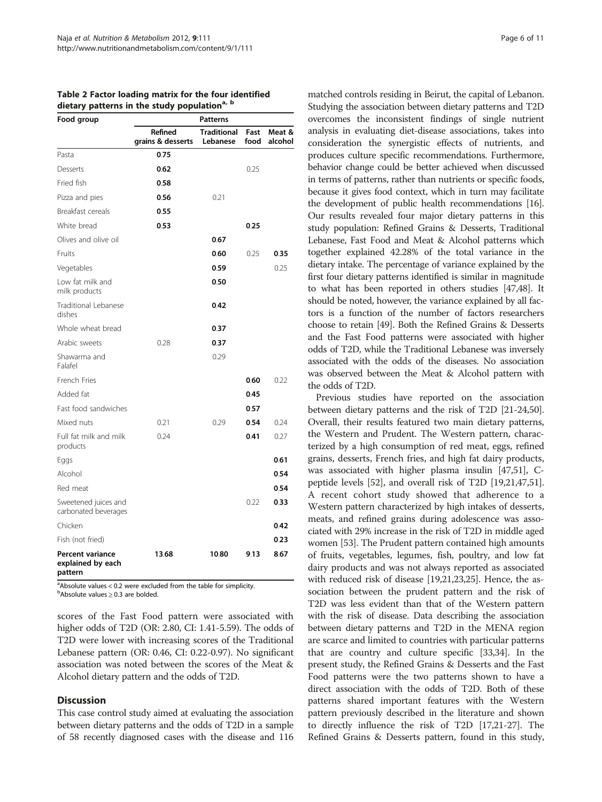| Food group                                              | <b>Population</b><br>Patterns |                                |              |                   |  |  |
|---------------------------------------------------------|-------------------------------|--------------------------------|--------------|-------------------|--|--|
|                                                         | Refined<br>grains & desserts  | <b>Traditional</b><br>Lebanese | Fast<br>food | Meat &<br>alcohol |  |  |
| Pasta                                                   | 0.75                          |                                |              |                   |  |  |
| Desserts                                                | 0.62                          |                                | 0.25         |                   |  |  |
| Fried fish                                              | 0.58                          |                                |              |                   |  |  |
| Pizza and pies                                          | 0.56                          | 0.21                           |              |                   |  |  |
| Breakfast cereals                                       | 0.55                          |                                |              |                   |  |  |
| White bread                                             | 0.53                          |                                | 0.25         |                   |  |  |
| Olives and olive oil                                    |                               | 0.67                           |              |                   |  |  |
| Fruits                                                  |                               | 0.60                           | 0.25         | 0.35              |  |  |
| Vegetables                                              |                               | 0.59                           |              | 0.25              |  |  |
| Low fat milk and<br>milk products                       |                               | 0.50                           |              |                   |  |  |
| <b>Traditional Lebanese</b><br>dishes                   |                               | 0.42                           |              |                   |  |  |
| Whole wheat bread                                       |                               | 0.37                           |              |                   |  |  |
| Arabic sweets                                           | 0.28                          | 0.37                           |              |                   |  |  |
| Shawarma and<br>Falafel                                 |                               | 0.29                           |              |                   |  |  |
| French Fries                                            |                               |                                | 0.60         | 0.22              |  |  |
| Added fat                                               |                               |                                | 0.45         |                   |  |  |
| <b>Fast food sandwiches</b>                             |                               |                                | 0.57         |                   |  |  |
| Mixed nuts                                              | 0.21                          | 0.29                           | 0.54         | 0.24              |  |  |
| Full fat milk and milk<br>products                      | 0.24                          |                                | 0.41         | 0.27              |  |  |
| Eggs                                                    |                               |                                |              | 0.61              |  |  |
| Alcohol                                                 |                               |                                |              | 0.54              |  |  |
| Red meat                                                |                               |                                |              | 0.54              |  |  |
| Sweetened juices and<br>carbonated beverages            |                               |                                | 0.22         | 0.33              |  |  |
| Chicken                                                 |                               |                                |              | 0.42              |  |  |
| Fish (not fried)                                        |                               |                                |              | 0.23              |  |  |
| <b>Percent variance</b><br>explained by each<br>pattern | 13.68                         | 10.80                          | 9.13         | 8.67              |  |  |

<span id="page-5-0"></span>Table 2 Factor loading matrix for the four identified dietary patterns in the study population<sup>a, b</sup>

<sup>a</sup>Absolute values < 0.2 were excluded from the table for simplicity.

<sup>b</sup>Absolute values ≥ 0.3 are bolded.

scores of the Fast Food pattern were associated with higher odds of T2D (OR: 2.80, CI: 1.41-5.59). The odds of T2D were lower with increasing scores of the Traditional Lebanese pattern (OR: 0.46, CI: 0.22-0.97). No significant association was noted between the scores of the Meat & Alcohol dietary pattern and the odds of T2D.

#### **Discussion**

This case control study aimed at evaluating the association between dietary patterns and the odds of T2D in a sample of 58 recently diagnosed cases with the disease and 116

matched controls residing in Beirut, the capital of Lebanon. Studying the association between dietary patterns and T2D overcomes the inconsistent findings of single nutrient analysis in evaluating diet-disease associations, takes into consideration the synergistic effects of nutrients, and produces culture specific recommendations. Furthermore, behavior change could be better achieved when discussed in terms of patterns, rather than nutrients or specific foods, because it gives food context, which in turn may facilitate the development of public health recommendations [\[16](#page-8-0)]. Our results revealed four major dietary patterns in this study population: Refined Grains & Desserts, Traditional Lebanese, Fast Food and Meat & Alcohol patterns which together explained 42.28% of the total variance in the dietary intake. The percentage of variance explained by the first four dietary patterns identified is similar in magnitude to what has been reported in others studies [\[47,48](#page-9-0)]. It should be noted, however, the variance explained by all factors is a function of the number of factors researchers choose to retain [\[49](#page-9-0)]. Both the Refined Grains & Desserts and the Fast Food patterns were associated with higher odds of T2D, while the Traditional Lebanese was inversely associated with the odds of the diseases. No association was observed between the Meat & Alcohol pattern with the odds of T2D.

Previous studies have reported on the association between dietary patterns and the risk of T2D [[21-24,](#page-8-0)[50](#page-9-0)]. Overall, their results featured two main dietary patterns, the Western and Prudent. The Western pattern, characterized by a high consumption of red meat, eggs, refined grains, desserts, French fries, and high fat dairy products, was associated with higher plasma insulin [\[47,51](#page-9-0)], Cpeptide levels [[52](#page-9-0)], and overall risk of T2D [[19,21](#page-8-0)[,47,51](#page-9-0)]. A recent cohort study showed that adherence to a Western pattern characterized by high intakes of desserts, meats, and refined grains during adolescence was associated with 29% increase in the risk of T2D in middle aged women [[53\]](#page-9-0). The Prudent pattern contained high amounts of fruits, vegetables, legumes, fish, poultry, and low fat dairy products and was not always reported as associated with reduced risk of disease [[19,21,23,25](#page-8-0)]. Hence, the association between the prudent pattern and the risk of T2D was less evident than that of the Western pattern with the risk of disease. Data describing the association between dietary patterns and T2D in the MENA region are scarce and limited to countries with particular patterns that are country and culture specific [\[33,34](#page-9-0)]. In the present study, the Refined Grains & Desserts and the Fast Food patterns were the two patterns shown to have a direct association with the odds of T2D. Both of these patterns shared important features with the Western pattern previously described in the literature and shown to directly influence the risk of T2D [\[17,21](#page-8-0)-[27\]](#page-8-0). The Refined Grains & Desserts pattern, found in this study,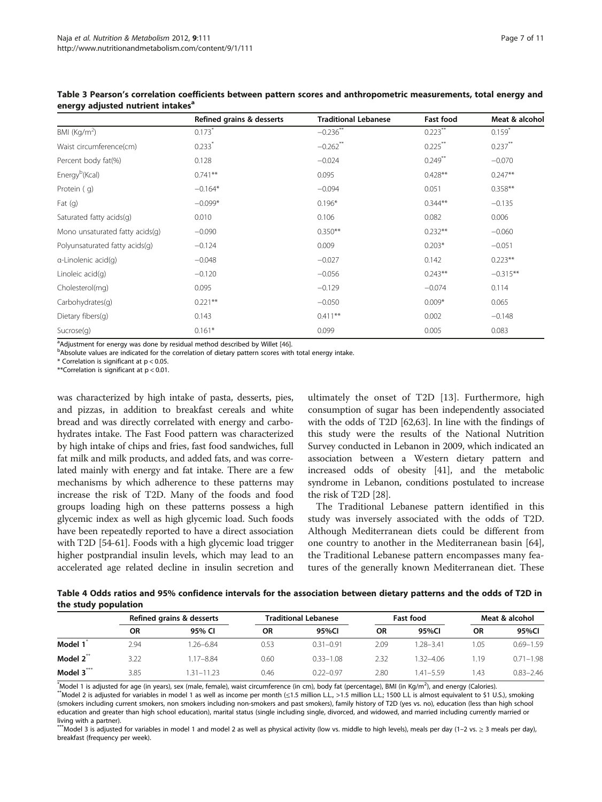|                                 | Refined grains & desserts | <b>Traditional Lebanese</b> | <b>Fast food</b> | Meat & alcohol |
|---------------------------------|---------------------------|-----------------------------|------------------|----------------|
| BMI $(Kg/m2)$                   | 0.173                     | $-0.236$ <sup>**</sup>      | $0.223$ **       | $0.159*$       |
| Waist circumference(cm)         | $0.233*$                  | $-0.262$ <sup>**</sup>      | $0.225$ **       | $0.237***$     |
| Percent body fat(%)             | 0.128                     | $-0.024$                    | $0.249$ **       | $-0.070$       |
| Energy <sup>b</sup> (Kcal)      | $0.741***$                | 0.095                       | $0.428**$        | $0.247**$      |
| Protein (q)                     | $-0.164*$                 | $-0.094$                    | 0.051            | $0.358**$      |
| Fat $(q)$                       | $-0.099*$                 | $0.196*$                    | $0.344**$        | $-0.135$       |
| Saturated fatty acids(q)        | 0.010                     | 0.106                       | 0.082            | 0.006          |
| Mono unsaturated fatty acids(q) | $-0.090$                  | $0.350**$                   | $0.232**$        | $-0.060$       |
| Polyunsaturated fatty acids(q)  | $-0.124$                  | 0.009                       | $0.203*$         | $-0.051$       |
| a-Linolenic acid(q)             | $-0.048$                  | $-0.027$                    | 0.142            | $0.223**$      |
| Linoleic $acid(q)$              | $-0.120$                  | $-0.056$                    | $0.243**$        | $-0.315**$     |
| Cholesterol(mg)                 | 0.095                     | $-0.129$                    | $-0.074$         | 0.114          |
| Carbohydrates(q)                | $0.221**$                 | $-0.050$                    | $0.009*$         | 0.065          |
| Dietary fibers(q)               | 0.143                     | $0.411***$                  | 0.002            | $-0.148$       |
| Sucrose(q)                      | $0.161*$                  | 0.099                       | 0.005            | 0.083          |

<span id="page-6-0"></span>Table 3 Pearson's correlation coefficients between pattern scores and anthropometric measurements, total energy and energy adjusted nutrient intakes<sup>a</sup>

<sup>a</sup>Adjustment for energy was done by residual method described by Willet [[46](#page-9-0)].<br><sup>b</sup>Absolute values are indicated for the correlation of distance attern scores with

<sup>b</sup>Absolute values are indicated for the correlation of dietary pattern scores with total energy intake.

 $*$  Correlation is significant at  $p < 0.05$ .

\*\*Correlation is significant at p < 0.01.

was characterized by high intake of pasta, desserts, pies, and pizzas, in addition to breakfast cereals and white bread and was directly correlated with energy and carbohydrates intake. The Fast Food pattern was characterized by high intake of chips and fries, fast food sandwiches, full fat milk and milk products, and added fats, and was correlated mainly with energy and fat intake. There are a few mechanisms by which adherence to these patterns may increase the risk of T2D. Many of the foods and food groups loading high on these patterns possess a high glycemic index as well as high glycemic load. Such foods have been repeatedly reported to have a direct association with T2D [[54-61\]](#page-9-0). Foods with a high glycemic load trigger higher postprandial insulin levels, which may lead to an accelerated age related decline in insulin secretion and

ultimately the onset of T2D [[13\]](#page-8-0). Furthermore, high consumption of sugar has been independently associated with the odds of T2D [\[62,63\]](#page-9-0). In line with the findings of this study were the results of the National Nutrition Survey conducted in Lebanon in 2009, which indicated an association between a Western dietary pattern and increased odds of obesity [[41](#page-9-0)], and the metabolic syndrome in Lebanon, conditions postulated to increase the risk of T2D [[28](#page-8-0)].

The Traditional Lebanese pattern identified in this study was inversely associated with the odds of T2D. Although Mediterranean diets could be different from one country to another in the Mediterranean basin [\[64](#page-9-0)], the Traditional Lebanese pattern encompasses many features of the generally known Mediterranean diet. These

Table 4 Odds ratios and 95% confidence intervals for the association between dietary patterns and the odds of T2D in the study population

|                       | Refined grains & desserts |               | <b>Traditional Lebanese</b> |               | <b>Fast food</b> |               | Meat & alcohol |               |
|-----------------------|---------------------------|---------------|-----------------------------|---------------|------------------|---------------|----------------|---------------|
|                       | ΟR                        | 95% CI        | ΟR                          | 95%CI         | ΟR               | 95%Cl         | OR             | 95%CI         |
| Model 1               | 2.94                      | $.26 - 6.84$  | 0.53                        | $0.31 - 0.91$ | 2.09             | 1.28-3.41     | 1.05           | $0.69 - 1.59$ |
| Model 2 <sup>**</sup> | 3.22                      | $1.17 - 8.84$ | 0.60                        | $0.33 - 1.08$ | 2.32             | $1.32 - 4.06$ | 1.19           | $0.71 - 1.98$ |
| Model $3***$          | 3.85                      | 1.31-11.23    | 0.46                        | $0.22 - 0.97$ | 2.80             | $1.41 - 5.59$ | . 43           | $0.83 - 2.46$ |

\*Model 1 is adjusted for age (in years), sex (male, female), waist circumference (in cm), body fat (percentage), BMI (in Kg/m<sup>2</sup> .<br>"Model 2 is adjusted for variables in model 1 as well as income per month (≤1.5 million L.L., >1.5 million L.L.; 1500 L.L is almost equivalent to \$1 U.S.), smoking (smokers including current smokers, non smokers including non-smokers and past smokers), family history of T2D (yes vs. no), education (less than high school education and greater than high school education), marital status (single including single, divorced, and widowed, and married including currently married or living with a partner).

\*\*\*Model 3 is adjusted for variables in model 1 and model 2 as well as physical activity (low vs. middle to high levels), meals per day (1–2 vs. ≥ 3 meals per day), breakfast (frequency per week).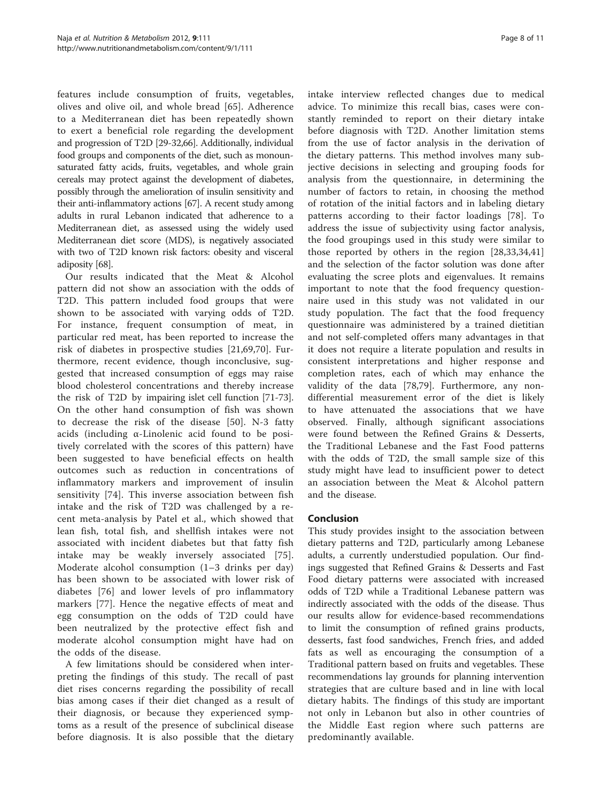features include consumption of fruits, vegetables, olives and olive oil, and whole bread [\[65](#page-9-0)]. Adherence to a Mediterranean diet has been repeatedly shown to exert a beneficial role regarding the development and progression of T2D [[29](#page-8-0)-[32,66\]](#page-9-0). Additionally, individual food groups and components of the diet, such as monounsaturated fatty acids, fruits, vegetables, and whole grain cereals may protect against the development of diabetes, possibly through the amelioration of insulin sensitivity and their anti-inflammatory actions [\[67\]](#page-9-0). A recent study among adults in rural Lebanon indicated that adherence to a Mediterranean diet, as assessed using the widely used Mediterranean diet score (MDS), is negatively associated with two of T2D known risk factors: obesity and visceral adiposity [\[68\]](#page-9-0).

Our results indicated that the Meat & Alcohol pattern did not show an association with the odds of T2D. This pattern included food groups that were shown to be associated with varying odds of T2D. For instance, frequent consumption of meat, in particular red meat, has been reported to increase the risk of diabetes in prospective studies [\[21](#page-8-0),[69,70\]](#page-9-0). Furthermore, recent evidence, though inconclusive, suggested that increased consumption of eggs may raise blood cholesterol concentrations and thereby increase the risk of T2D by impairing islet cell function [[71](#page-9-0)-[73](#page-9-0)]. On the other hand consumption of fish was shown to decrease the risk of the disease [[50\]](#page-9-0). N-3 fatty acids (including α-Linolenic acid found to be positively correlated with the scores of this pattern) have been suggested to have beneficial effects on health outcomes such as reduction in concentrations of inflammatory markers and improvement of insulin sensitivity [[74\]](#page-9-0). This inverse association between fish intake and the risk of T2D was challenged by a recent meta-analysis by Patel et al., which showed that lean fish, total fish, and shellfish intakes were not associated with incident diabetes but that fatty fish intake may be weakly inversely associated [[75](#page-9-0)]. Moderate alcohol consumption (1–3 drinks per day) has been shown to be associated with lower risk of diabetes [[76](#page-10-0)] and lower levels of pro inflammatory markers [\[77\]](#page-10-0). Hence the negative effects of meat and egg consumption on the odds of T2D could have been neutralized by the protective effect fish and moderate alcohol consumption might have had on the odds of the disease.

A few limitations should be considered when interpreting the findings of this study. The recall of past diet rises concerns regarding the possibility of recall bias among cases if their diet changed as a result of their diagnosis, or because they experienced symptoms as a result of the presence of subclinical disease before diagnosis. It is also possible that the dietary intake interview reflected changes due to medical advice. To minimize this recall bias, cases were constantly reminded to report on their dietary intake before diagnosis with T2D. Another limitation stems from the use of factor analysis in the derivation of the dietary patterns. This method involves many subjective decisions in selecting and grouping foods for analysis from the questionnaire, in determining the number of factors to retain, in choosing the method of rotation of the initial factors and in labeling dietary patterns according to their factor loadings [\[78](#page-10-0)]. To address the issue of subjectivity using factor analysis, the food groupings used in this study were similar to those reported by others in the region [[28,](#page-8-0)[33,34,41](#page-9-0)] and the selection of the factor solution was done after evaluating the scree plots and eigenvalues. It remains important to note that the food frequency questionnaire used in this study was not validated in our study population. The fact that the food frequency questionnaire was administered by a trained dietitian and not self-completed offers many advantages in that it does not require a literate population and results in consistent interpretations and higher response and completion rates, each of which may enhance the validity of the data [\[78,79\]](#page-10-0). Furthermore, any nondifferential measurement error of the diet is likely to have attenuated the associations that we have observed. Finally, although significant associations were found between the Refined Grains & Desserts, the Traditional Lebanese and the Fast Food patterns with the odds of T2D, the small sample size of this study might have lead to insufficient power to detect an association between the Meat & Alcohol pattern and the disease.

# Conclusion

This study provides insight to the association between dietary patterns and T2D, particularly among Lebanese adults, a currently understudied population. Our findings suggested that Refined Grains & Desserts and Fast Food dietary patterns were associated with increased odds of T2D while a Traditional Lebanese pattern was indirectly associated with the odds of the disease. Thus our results allow for evidence-based recommendations to limit the consumption of refined grains products, desserts, fast food sandwiches, French fries, and added fats as well as encouraging the consumption of a Traditional pattern based on fruits and vegetables. These recommendations lay grounds for planning intervention strategies that are culture based and in line with local dietary habits. The findings of this study are important not only in Lebanon but also in other countries of the Middle East region where such patterns are predominantly available.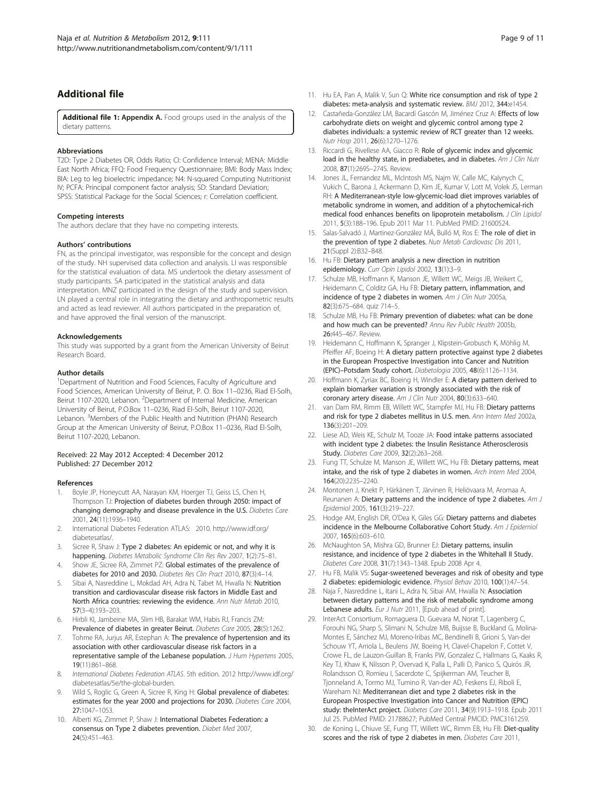# <span id="page-8-0"></span>Additional file

[Additional file 1:](http://www.biomedcentral.com/content/supplementary/1743-7075-9-111-S1.doc) Appendix A. Food groups used in the analysis of the dietary patterns.

#### **Abbreviations**

T2D: Type 2 Diabetes OR, Odds Ratio; CI: Confidence Interval; MENA: Middle East North Africa; FFQ: Food Frequency Questionnaire; BMI: Body Mass Index; BIA: Leg to leg bioelectric impedance; N4: N-squared Computing Nutritionist IV; PCFA: Principal component factor analysis; SD: Standard Deviation; SPSS: Statistical Package for the Social Sciences; r: Correlation coefficient.

#### Competing interests

The authors declare that they have no competing interests.

#### Authors' contributions

FN, as the principal investigator, was responsible for the concept and design of the study. NH supervised data collection and analysis. LI was responsible for the statistical evaluation of data. MS undertook the dietary assessment of study participants. SA participated in the statistical analysis and data interpretation. MNZ participated in the design of the study and supervision. LN played a central role in integrating the dietary and anthropometric results and acted as lead reviewer. All authors participated in the preparation of, and have approved the final version of the manuscript.

#### Acknowledgements

This study was supported by a grant from the American University of Beirut Research Board.

#### Author details

<sup>1</sup>Department of Nutrition and Food Sciences, Faculty of Agriculture and Food Sciences, American University of Beirut, P. O. Box 11–0236, Riad El-Solh, Beirut 1107-2020, Lebanon. <sup>2</sup>Department of Internal Medicine, American University of Beirut, P.O.Box 11–0236, Riad El-Solh, Beirut 1107-2020, Lebanon. <sup>3</sup>Members of the Public Health and Nutrition (PHAN) Research Group at the American University of Beirut, P.O.Box 11–0236, Riad El-Solh, Beirut 1107-2020, Lebanon.

#### Received: 22 May 2012 Accepted: 4 December 2012 Published: 27 December 2012

#### References

- 1. Boyle JP, Honeycutt AA, Narayan KM, Hoerger TJ, Geiss LS, Chen H, Thompson TJ: Projection of diabetes burden through 2050: impact of changing demography and disease prevalence in the U.S. Diabetes Care 2001, 24(11):1936–1940.
- 2. International Diabetes Federation ATLAS: 2010. [http://www.idf.org/](http://www.idf.org/diabetesatlas/) [diabetesatlas/.](http://www.idf.org/diabetesatlas/)
- 3. Sicree R, Shaw J: Type 2 diabetes: An epidemic or not, and why it is happening. Diabetes Metabolic Syndrome Clin Res Rev 2007, 1(2):75-81.
- 4. Show JE, Sicree RA, Zimmet PZ: Global estimates of the prevalence of diabetes for 2010 and 2030. Diabetes Res Clin Pract 2010, 87(3):4–14.
- 5. Sibai A, Nasreddine L, Mokdad AH, Adra N, Tabet M, Hwalla N: Nutrition transition and cardiovascular disease risk factors in Middle East and North Africa countries: reviewing the evidence. Ann Nutr Metab 2010, 57(3–4):193–203.
- 6. Hirbli KI, Jambeine MA, Slim HB, Barakat WM, Habis RJ, Francis ZM: Prevalence of diabetes in greater Beirut. Diabetes Care 2005, 28(5):1262.
- 7. Tohme RA, Jurjus AR, Estephan A: The prevalence of hypertension and its association with other cardiovascular disease risk factors in a representative sample of the Lebanese population. J Hum Hypertens 2005, 19(11):861–868.
- 8. International Diabetes Federation ATLAS. 5th edition. 2012 [http://www.idf.org/](http://www.idf.org/diabetesatlas/5e/the-global-burden) [diabetesatlas/5e/the-global-burden.](http://www.idf.org/diabetesatlas/5e/the-global-burden)
- Wild S, Roglic G, Green A, Sicree R, King H: Global prevalence of diabetes: estimates for the year 2000 and projections for 2030. Diabetes Care 2004, 27:1047–1053.
- 10. Alberti KG, Zimmet P, Shaw J: International Diabetes Federation: a consensus on Type 2 diabetes prevention. Diabet Med 2007, 24(5):451–463.
- 11. Hu EA, Pan A, Malik V, Sun Q: White rice consumption and risk of type 2 diabetes: meta-analysis and systematic review. BMJ 2012, 344:e1454.
- 12. Castañeda-González LM, Bacardí Gascón M, Jiménez Cruz A: Effects of low carbohydrate diets on weight and glycemic control among type 2 diabetes individuals: a systemic review of RCT greater than 12 weeks. Nutr Hosp 2011, 26(6):1270–1276.
- 13. Riccardi G, Rivellese AA, Giacco R: Role of glycemic index and glycemic load in the healthy state, in prediabetes, and in diabetes. Am J Clin Nutr 2008, 87(1):269S–274S. Review.
- 14. Jones JL, Fernandez ML, McIntosh MS, Najm W, Calle MC, Kalynych C, Vukich C, Barona J, Ackermann D, Kim JE, Kumar V, Lott M, Volek JS, Lerman RH: A Mediterranean-style low-glycemic-load diet improves variables of metabolic syndrome in women, and addition of a phytochemical-rich medical food enhances benefits on lipoprotein metabolism. J Clin Lipidol 2011, 5(3):188–196. Epub 2011 Mar 11. PubMed PMID: 21600524.
- 15. Salas-Salvadó J, Martinez-González MÁ, Bulló M, Ros E: The role of diet in the prevention of type 2 diabetes. Nutr Metab Cardiovasc Dis 2011, 21(Suppl 2):B32–B48.
- 16. Hu FB: Dietary pattern analysis a new direction in nutrition epidemiology. Curr Opin Lipidol 2002, 13(1):3–9.
- 17. Schulze MB, Hoffmann K, Manson JE, Willett WC, Meigs JB, Weikert C, Heidemann C, Colditz GA, Hu FB: Dietary pattern, inflammation, and incidence of type 2 diabetes in women. Am J Clin Nutr 2005a, 82(3):675–684. quiz 714–5.
- 18. Schulze MB, Hu FB: Primary prevention of diabetes: what can be done and how much can be prevented? Annu Rev Public Health 2005b, 26:445–467. Review.
- 19. Heidemann C, Hoffmann K, Spranger J, Klipstein-Grobusch K, Möhlig M, Pfeiffer AF, Boeing H: A dietary pattern protective against type 2 diabetes in the European Prospective Investigation into Cancer and Nutrition (EPIC)–Potsdam Study cohort. Diabetologia 2005, 48(6):1126–1134.
- 20. Hoffmann K, Zyriax BC, Boeing H, Windler E: A dietary pattern derived to explain biomarker variation is strongly associated with the risk of coronary artery disease. Am J Clin Nutr 2004, 80(3):633-640.
- 21. van Dam RM, Rimm EB, Willett WC, Stampfer MJ, Hu FB: Dietary patterns and risk for type 2 diabetes mellitus in U.S. men. Ann Intern Med 2002a, 136(3):201–209.
- 22. Liese AD, Weis KE, Schulz M, Tooze JA: Food intake patterns associated with incident type 2 diabetes: the Insulin Resistance Atherosclerosis Study. Diabetes Care 2009, 32(2):263–268.
- 23. Fung TT, Schulze M, Manson JE, Willett WC, Hu FB: Dietary patterns, meat intake, and the risk of type 2 diabetes in women. Arch Intern Med 2004, 164(20):2235–2240.
- 24. Montonen J, Knekt P, Härkänen T, Järvinen R, Heliövaara M, Aromaa A, Reunanen A: Dietary patterns and the incidence of type 2 diabetes. Am J Epidemiol 2005, 161(3):219–227.
- 25. Hodge AM, English DR, O'Dea K, Giles GG: Dietary patterns and diabetes incidence in the Melbourne Collaborative Cohort Study. Am J Epidemiol 2007, 165(6):603–610.
- 26. McNaughton SA, Mishra GD, Brunner EJ: Dietary patterns, insulin resistance, and incidence of type 2 diabetes in the Whitehall II Study. Diabetes Care 2008, 31(7):1343–1348. Epub 2008 Apr 4.
- 27. Hu FB, Malik VS: Sugar-sweetened beverages and risk of obesity and type 2 diabetes: epidemiologic evidence. Physiol Behav 2010, 100(1):47–54.
- 28. Naja F, Nasreddine L, Itani L, Adra N, Sibai AM, Hwalla N: Association between dietary patterns and the risk of metabolic syndrome among Lebanese adults. Eur J Nutr 2011, [Epub ahead of print].
- 29. InterAct Consortium, Romaguera D, Guevara M, Norat T, Lagenberg C, Forouhi NG, Sharp S, Slimani N, Schulze MB, Buijsse B, Buckland G, Molina-Montes E, Sánchez MJ, Moreno-Iribas MC, Bendinelli B, Grioni S, Van-der Schouw YT, Arriola L, Beulens JW, Boeing H, Clavel-Chapelon F, Cottet V, Crowe FL, de Lauzon-Guillan B, Franks PW, Gonzalez C, Hallmans G, Kaaks R, Key TJ, Khaw K, Nilsson P, Overvad K, Palla L, Palli D, Panico S, Quirós JR, Rolandsson O, Romieu I, Sacerdote C, Spijkerman AM, Teucher B, Tjonneland A, Tormo MJ, Tumino R, Van-der AD, Feskens EJ, Riboli E, Wareham NJ: Mediterranean diet and type 2 diabetes risk in the European Prospective Investigation into Cancer and Nutrition (EPIC) study: theInterAct project. Diabetes Care 2011, 34(9):1913-1918. Epub 2011 Jul 25. PubMed PMID: 21788627; PubMed Central PMCID: PMC3161259.
- 30. de Koning L, Chiuve SE, Fung TT, Willett WC, Rimm EB, Hu FB: Diet-quality scores and the risk of type 2 diabetes in men. Diabetes Care 2011,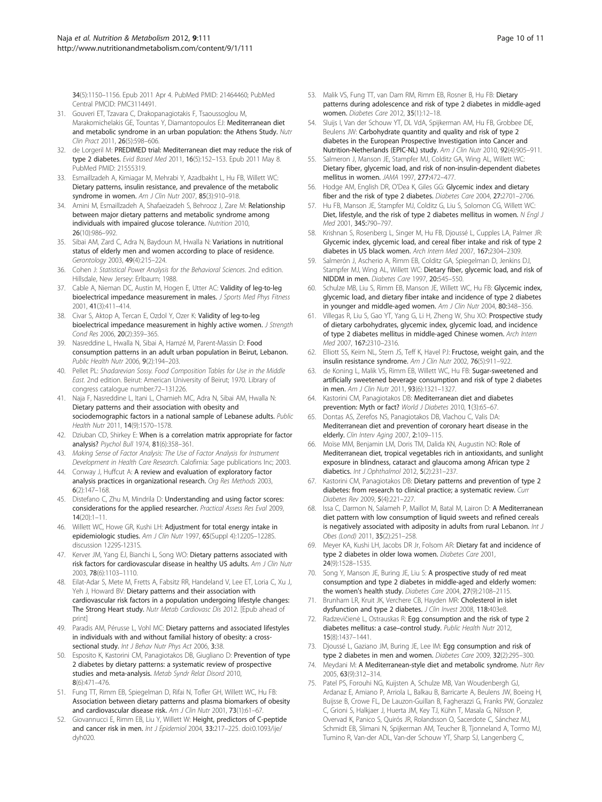<span id="page-9-0"></span>34(5):1150–1156. Epub 2011 Apr 4. PubMed PMID: 21464460; PubMed Central PMCID: PMC3114491.

- 31. Gouveri ET, Tzavara C, Drakopanagiotakis F, Tsaoussoglou M, Marakomichelakis GE, Tountas Y, Diamantopoulos EJ: Mediterranean diet and metabolic syndrome in an urban population: the Athens Study. Nutr Clin Pract 2011, 26(5):598–606.
- 32. de Lorgeril M: PREDIMED trial: Mediterranean diet may reduce the risk of type 2 diabetes. Evid Based Med 2011, 16(5):152-153. Epub 2011 May 8. PubMed PMID: 21555319.
- 33. Esmaillzadeh A, Kimiagar M, Mehrabi Y, Azadbakht L, Hu FB, Willett WC: Dietary patterns, insulin resistance, and prevalence of the metabolic syndrome in women. Am J Clin Nutr 2007, 85(3):910-918.
- 34. Amini M, Esmaillzadeh A, Shafaeizadeh S, Behrooz J, Zare M: Relationship between major dietary patterns and metabolic syndrome among individuals with impaired glucose tolerance. Nutrition 2010, 26(10):986–992.
- 35. Sibai AM, Zard C, Adra N, Baydoun M, Hwalla N: Variations in nutritional status of elderly men and women according to place of residence. Gerontology 2003, 49(4):215–224.
- 36. Cohen J: Statistical Power Analysis for the Behavioral Sciences. 2nd edition. Hillsdale, New Jersey: Erlbaum; 1988.
- 37. Cable A, Nieman DC, Austin M, Hogen E, Utter AC: Validity of leg-to-leg bioelectrical impedance measurement in males. J Sports Med Phys Fitness 2001, 41(3):411–414.
- 38. Civar S, Aktop A, Tercan E, Ozdol Y, Ozer K: Validity of leg-to-leg bioelectrical impedance measurement in highly active women. J Strength Cond Res 2006, 20(2):359–365.
- 39. Nasreddine L, Hwalla N, Sibai A, Hamzé M, Parent-Massin D: Food consumption patterns in an adult urban population in Beirut, Lebanon. Public Health Nutr 2006, 9(2):194–203.
- 40. Pellet PL: Shadarevian Sossy. Food Composition Tables for Use in the Middle East. 2nd edition. Beirut: American University of Beirut; 1970. Library of congress catalogue number:72–131226.
- 41. Naja F, Nasreddine L, Itani L, Chamieh MC, Adra N, Sibai AM, Hwalla N: Dietary patterns and their association with obesity and sociodemographic factors in a national sample of Lebanese adults. Public Health Nutr 2011, 14(9):1570–1578.
- 42. Dziuban CD, Shirkey E: When is a correlation matrix appropriate for factor analysis? Psychol Bull 1974, 81(6):358–361.
- 43. Making Sense of Factor Analysis: The Use of Factor Analysis for Instrument Development in Health Care Research. Calofirnia: Sage publications Inc; 2003.
- 44. Conway J, Huffcut A: A review and evaluation of exploratory factor analysis practices in organizational research. Org Res Methods 2003, 6(2):147–168.
- 45. Distefano C, Zhu M, Mindrila D: Understanding and using factor scores: considerations for the applied researcher. Practical Assess Res Eval 2009, 14(20):1–11.
- 46. Willett WC, Howe GR, Kushi LH: Adjustment for total energy intake in epidemiologic studies. Am J Clin Nutr 1997, 65(Suppl 4):1220S-1228S. discussion 1229S-1231S.
- 47. Kerver JM, Yang EJ, Bianchi L, Song WO: Dietary patterns associated with risk factors for cardiovascular disease in healthy US adults. Am J Clin Nutr 2003, 78(6):1103–1110.
- 48. Eilat-Adar S, Mete M, Fretts A, Fabsitz RR, Handeland V, Lee ET, Loria C, Xu J, Yeh J, Howard BV: Dietary patterns and their association with cardiovascular risk factors in a population undergoing lifestyle changes: The Strong Heart study. Nutr Metab Cardiovasc Dis 2012. [Epub ahead of print]
- 49. Paradis AM, Pérusse L, Vohl MC: Dietary patterns and associated lifestyles in individuals with and without familial history of obesity: a crosssectional study. Int J Behav Nutr Phys Act 2006, 3:38
- 50. Esposito K, Kastorini CM, Panagiotakos DB, Giugliano D: Prevention of type 2 diabetes by dietary patterns: a systematic review of prospective studies and meta-analysis. Metab Syndr Relat Disord 2010, 8(6):471–476.
- 51. Fung TT, Rimm EB, Spiegelman D, Rifai N, Tofler GH, Willett WC, Hu FB: Association between dietary patterns and plasma biomarkers of obesity and cardiovascular disease risk. Am J Clin Nutr 2001, 73(1):61-67.
- 52. Giovannucci E, Rimm EB, Liu Y, Willett W: Height, predictors of C-peptide and cancer risk in men. Int J Epidemiol 2004, 33:217-225. doi:[0.1093/ije/](http://dx.doi.org/0.1093/ije/dyh020) [dyh020.](http://dx.doi.org/0.1093/ije/dyh020)
- 53. Malik VS, Fung TT, van Dam RM, Rimm EB, Rosner B, Hu FB: Dietary patterns during adolescence and risk of type 2 diabetes in middle-aged women. Diabetes Care 2012, 35(1):12–18.
- 54. Sluijs I, Van der Schouw YT, DL VdA, Spijkerman AM, Hu FB, Grobbee DE, Beulens JW: Carbohydrate quantity and quality and risk of type 2 diabetes in the European Prospective Investigation into Cancer and Nutrition-Netherlands (EPIC-NL) study. Am J Clin Nutr 2010, 92(4):905–911.
- 55. Salmeron J, Manson JE, Stampfer MJ, Colditz GA, Wing AL, Willett WC: Dietary fiber, glycemic load, and risk of non-insulin-dependent diabetes mellitus in women. JAMA 1997, 277:472–477.
- Hodge AM, English DR, O'Dea K, Giles GG: Glycemic index and dietary fiber and the risk of type 2 diabetes. Diabetes Care 2004, 27:2701–2706.
- 57. Hu FB, Manson JE, Stampfer MJ, Colditz G, Liu S, Solomon CG, Willett WC: Diet, lifestyle, and the risk of type 2 diabetes mellitus in women. N Engl J Med 2001, 345:790–797.
- 58. Krishnan S, Rosenberg L, Singer M, Hu FB, Djoussé L, Cupples LA, Palmer JR: Glycemic index, glycemic load, and cereal fiber intake and risk of type 2 diabetes in US black women. Arch Intern Med 2007, 167:2304–2309.
- 59. Salmerón J, Ascherio A, Rimm EB, Colditz GA, Spiegelman D, Jenkins DJ, Stampfer MJ, Wing AL, Willett WC: Dietary fiber, glycemic load, and risk of NIDDM in men. Diabetes Care 1997, 20:545–550.
- Schulze MB, Liu S, Rimm EB, Manson JE, Willett WC, Hu FB: Glycemic index, glycemic load, and dietary fiber intake and incidence of type 2 diabetes in younger and middle-aged women. Am J Clin Nutr 2004, 80:348-356.
- 61. Villegas R, Liu S, Gao YT, Yang G, Li H, Zheng W, Shu XO: Prospective study of dietary carbohydrates, glycemic index, glycemic load, and incidence of type 2 diabetes mellitus in middle-aged Chinese women. Arch Intern Med 2007, 167:2310–2316.
- 62. Elliott SS, Keim NL, Stern JS, Teff K, Havel PJ: Fructose, weight gain, and the insulin resistance syndrome. Am J Clin Nutr 2002, 76(5):911–922.
- 63. de Koning L, Malik VS, Rimm EB, Willett WC, Hu FB: Sugar-sweetened and artificially sweetened beverage consumption and risk of type 2 diabetes in men. Am J Clin Nutr 2011, 93(6):1321–1327.
- 64. Kastorini CM, Panagiotakos DB: Mediterranean diet and diabetes prevention: Myth or fact? World J Diabetes 2010, 1(3):65-67.
- 65. Dontas AS, Zerefos NS, Panagiotakos DB, Vlachou C, Valis DA: Mediterranean diet and prevention of coronary heart disease in the elderly. Clin Interv Aging 2007, 2:109-115.
- 66. Moïse MM, Benjamin LM, Doris TM, Dalida KN, Augustin NO: Role of Mediterranean diet, tropical vegetables rich in antioxidants, and sunlight exposure in blindness, cataract and glaucoma among African type 2 diabetics. Int J Ophthalmol 2012, 5(2):231–237.
- 67. Kastorini CM, Panagiotakos DB: Dietary patterns and prevention of type 2 diabetes: from research to clinical practice; a systematic review. Curr Diabetes Rev 2009, 5(4):221–227.
- 68. Issa C, Darmon N, Salameh P, Maillot M, Batal M, Lairon D: A Mediterranean diet pattern with low consumption of liquid sweets and refined cereals is negatively associated with adiposity in adults from rural Lebanon. Int J Obes (Lond) 2011, 35(2):251–258.
- Meyer KA, Kushi LH, Jacobs DR Jr, Folsom AR: Dietary fat and incidence of type 2 diabetes in older Iowa women. Diabetes Care 2001, 24(9):1528–1535.
- 70. Song Y, Manson JE, Buring JE, Liu S: A prospective study of red meat consumption and type 2 diabetes in middle-aged and elderly women: the women's health study. Diabetes Care 2004, 27(9):2108–2115.
- 71. Brunham LR, Kruit JK, Verchere CB, Hayden MR: Cholesterol in islet dysfunction and type 2 diabetes. J Clin Invest 2008, 118:403e8
- 72. Radzevičienė L, Ostrauskas R: Egg consumption and the risk of type 2 diabetes mellitus: a case–control study. Public Health Nutr 2012, 15(8):1437–1441.
- 73. Djoussé L, Gaziano JM, Buring JE, Lee IM: Egg consumption and risk of type 2 diabetes in men and women. Diabetes Care 2009, 32(2):295–300.
- 74. Meydani M: A Mediterranean-style diet and metabolic syndrome. Nutr Rev 2005, 63(9):312–314.
- 75. Patel PS, Forouhi NG, Kuijsten A, Schulze MB, Van Woudenbergh GJ, Ardanaz E, Amiano P, Arriola L, Balkau B, Barricarte A, Beulens JW, Boeing H, Buijsse B, Crowe FL, De Lauzon-Guillan B, Fagherazzi G, Franks PW, Gonzalez C, Grioni S, Halkjaer J, Huerta JM, Key TJ, Kühn T, Masala G, Nilsson P, Overvad K, Panico S, Quirós JR, Rolandsson O, Sacerdote C, Sánchez MJ, Schmidt EB, Slimani N, Spijkerman AM, Teucher B, Tjonneland A, Tormo MJ, Tumino R, Van-der ADL, Van-der Schouw YT, Sharp SJ, Langenberg C,